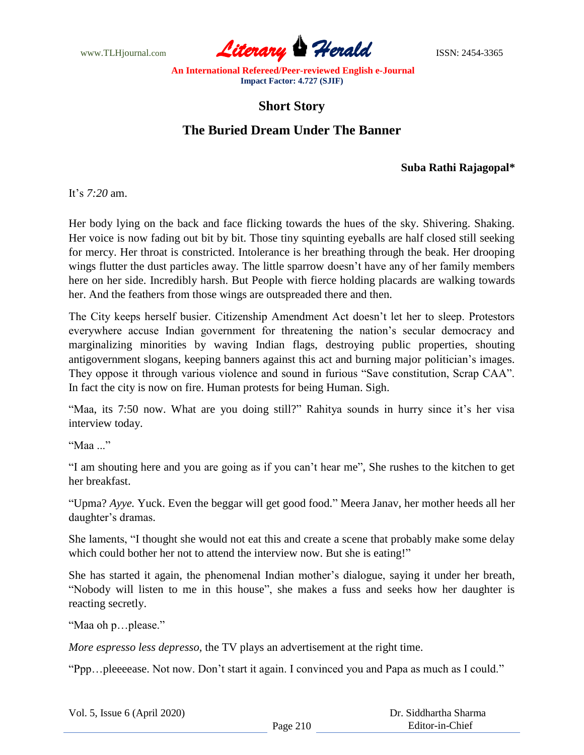

## **Short Story**

## **The Buried Dream Under The Banner**

## **Suba Rathi Rajagopal\***

It's *7:20* am.

Her body lying on the back and face flicking towards the hues of the sky. Shivering. Shaking. Her voice is now fading out bit by bit. Those tiny squinting eyeballs are half closed still seeking for mercy. Her throat is constricted. Intolerance is her breathing through the beak. Her drooping wings flutter the dust particles away. The little sparrow doesn't have any of her family members here on her side. Incredibly harsh. But People with fierce holding placards are walking towards her. And the feathers from those wings are outspreaded there and then.

The City keeps herself busier. Citizenship Amendment Act doesn't let her to sleep. Protestors everywhere accuse Indian government for threatening the nation's secular democracy and marginalizing minorities by waving Indian flags, destroying public properties, shouting antigovernment slogans, keeping banners against this act and burning major politician's images. They oppose it through various violence and sound in furious "Save constitution, Scrap CAA". In fact the city is now on fire. Human protests for being Human. Sigh.

"Maa, its 7:50 now. What are you doing still?" Rahitya sounds in hurry since it's her visa interview today.

"Maa ..."

"I am shouting here and you are going as if you can't hear me", She rushes to the kitchen to get her breakfast.

"Upma? *Ayye.* Yuck. Even the beggar will get good food." Meera Janav, her mother heeds all her daughter's dramas.

She laments, "I thought she would not eat this and create a scene that probably make some delay which could bother her not to attend the interview now. But she is eating!"

She has started it again, the phenomenal Indian mother's dialogue, saying it under her breath, "Nobody will listen to me in this house", she makes a fuss and seeks how her daughter is reacting secretly.

"Maa oh p…please."

*More espresso less depresso,* the TV plays an advertisement at the right time.

"Ppp…pleeeease. Not now. Don't start it again. I convinced you and Papa as much as I could."

|  |  | Vol. 5, Issue 6 (April 2020) |  |
|--|--|------------------------------|--|
|--|--|------------------------------|--|

 Dr. Siddhartha Sharma Editor-in-Chief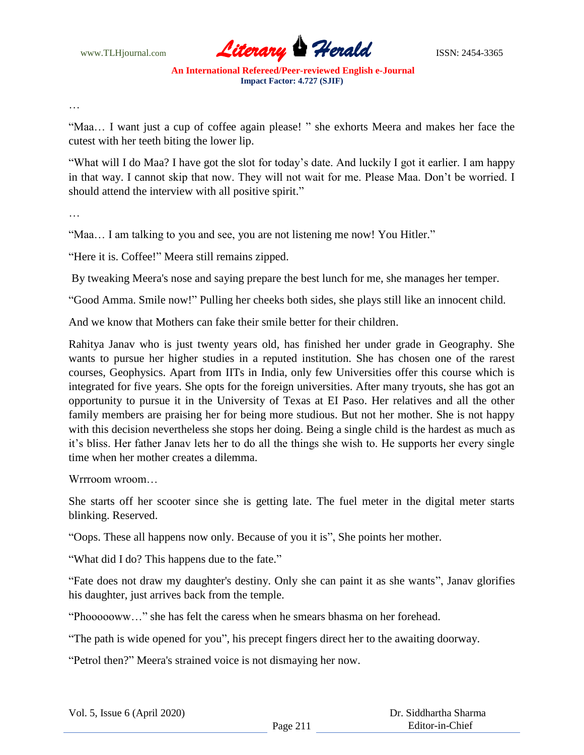

…

"Maa… I want just a cup of coffee again please! " she exhorts Meera and makes her face the cutest with her teeth biting the lower lip.

"What will I do Maa? I have got the slot for today's date. And luckily I got it earlier. I am happy in that way. I cannot skip that now. They will not wait for me. Please Maa. Don't be worried. I should attend the interview with all positive spirit."

…

"Maa… I am talking to you and see, you are not listening me now! You Hitler."

"Here it is. Coffee!" Meera still remains zipped.

By tweaking Meera's nose and saying prepare the best lunch for me, she manages her temper.

"Good Amma. Smile now!" Pulling her cheeks both sides, she plays still like an innocent child.

And we know that Mothers can fake their smile better for their children.

Rahitya Janav who is just twenty years old, has finished her under grade in Geography. She wants to pursue her higher studies in a reputed institution. She has chosen one of the rarest courses, Geophysics. Apart from IITs in India, only few Universities offer this course which is integrated for five years. She opts for the foreign universities. After many tryouts, she has got an opportunity to pursue it in the University of Texas at EI Paso. Her relatives and all the other family members are praising her for being more studious. But not her mother. She is not happy with this decision nevertheless she stops her doing. Being a single child is the hardest as much as it's bliss. Her father Janav lets her to do all the things she wish to. He supports her every single time when her mother creates a dilemma.

Wrrroom wroom…

She starts off her scooter since she is getting late. The fuel meter in the digital meter starts blinking. Reserved.

"Oops. These all happens now only. Because of you it is", She points her mother.

"What did I do? This happens due to the fate."

"Fate does not draw my daughter's destiny. Only she can paint it as she wants", Janav glorifies his daughter, just arrives back from the temple.

"Phoooooww…" she has felt the caress when he smears bhasma on her forehead.

"The path is wide opened for you", his precept fingers direct her to the awaiting doorway.

"Petrol then?" Meera's strained voice is not dismaying her now.

|  | Vol. 5, Issue 6 (April 2020) |  |  |
|--|------------------------------|--|--|
|--|------------------------------|--|--|

 Dr. Siddhartha Sharma Editor-in-Chief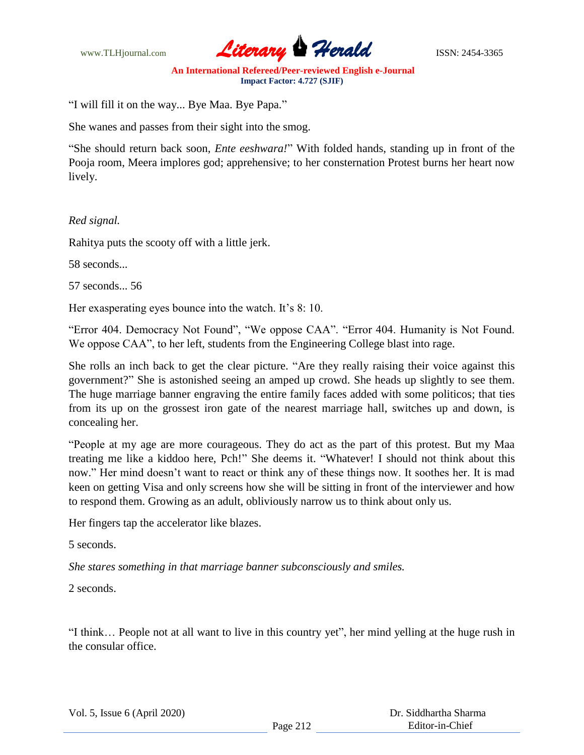

"I will fill it on the way... Bye Maa. Bye Papa."

She wanes and passes from their sight into the smog.

"She should return back soon, *Ente eeshwara!*" With folded hands, standing up in front of the Pooja room, Meera implores god; apprehensive; to her consternation Protest burns her heart now lively.

## *Red signal.*

Rahitya puts the scooty off with a little jerk.

58 seconds...

57 seconds... 56

Her exasperating eyes bounce into the watch. It's 8: 10.

"Error 404. Democracy Not Found", "We oppose CAA". "Error 404. Humanity is Not Found. We oppose CAA", to her left, students from the Engineering College blast into rage.

She rolls an inch back to get the clear picture. "Are they really raising their voice against this government?" She is astonished seeing an amped up crowd. She heads up slightly to see them. The huge marriage banner engraving the entire family faces added with some politicos; that ties from its up on the grossest iron gate of the nearest marriage hall, switches up and down, is concealing her.

"People at my age are more courageous. They do act as the part of this protest. But my Maa treating me like a kiddoo here, Pch!" She deems it. "Whatever! I should not think about this now." Her mind doesn't want to react or think any of these things now. It soothes her. It is mad keen on getting Visa and only screens how she will be sitting in front of the interviewer and how to respond them. Growing as an adult, obliviously narrow us to think about only us.

Her fingers tap the accelerator like blazes.

5 seconds.

*She stares something in that marriage banner subconsciously and smiles.*

2 seconds.

"I think… People not at all want to live in this country yet", her mind yelling at the huge rush in the consular office.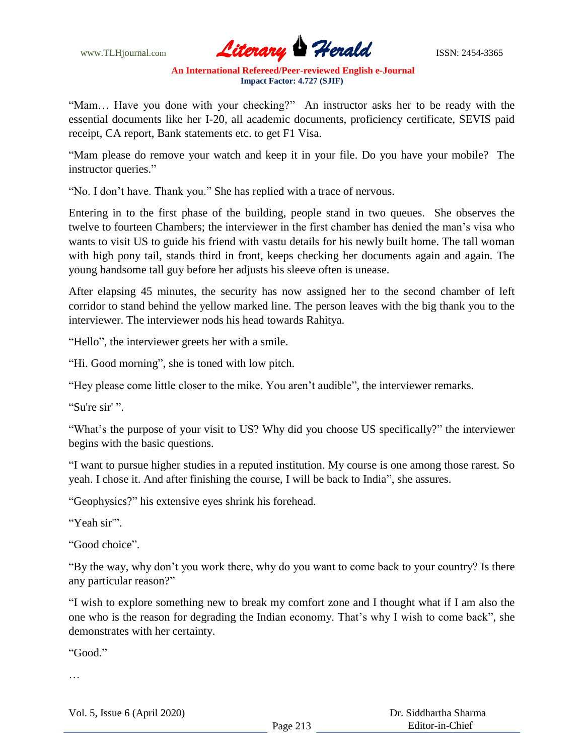

"Mam… Have you done with your checking?" An instructor asks her to be ready with the essential documents like her I-20, all academic documents, proficiency certificate, SEVIS paid receipt, CA report, Bank statements etc. to get F1 Visa.

"Mam please do remove your watch and keep it in your file. Do you have your mobile? The instructor queries."

"No. I don't have. Thank you." She has replied with a trace of nervous.

Entering in to the first phase of the building, people stand in two queues. She observes the twelve to fourteen Chambers; the interviewer in the first chamber has denied the man's visa who wants to visit US to guide his friend with vastu details for his newly built home. The tall woman with high pony tail, stands third in front, keeps checking her documents again and again. The young handsome tall guy before her adjusts his sleeve often is unease.

After elapsing 45 minutes, the security has now assigned her to the second chamber of left corridor to stand behind the yellow marked line. The person leaves with the big thank you to the interviewer. The interviewer nods his head towards Rahitya.

"Hello", the interviewer greets her with a smile.

"Hi. Good morning", she is toned with low pitch.

"Hey please come little closer to the mike. You aren't audible", the interviewer remarks.

"Su're sir' ".

"What's the purpose of your visit to US? Why did you choose US specifically?" the interviewer begins with the basic questions.

"I want to pursue higher studies in a reputed institution. My course is one among those rarest. So yeah. I chose it. And after finishing the course, I will be back to India", she assures.

"Geophysics?" his extensive eyes shrink his forehead.

"Yeah sir'".

"Good choice".

"By the way, why don't you work there, why do you want to come back to your country? Is there any particular reason?"

"I wish to explore something new to break my comfort zone and I thought what if I am also the one who is the reason for degrading the Indian economy. That's why I wish to come back", she demonstrates with her certainty.

"Good."

…

Vol. 5, Issue 6 (April 2020)

 Dr. Siddhartha Sharma Editor-in-Chief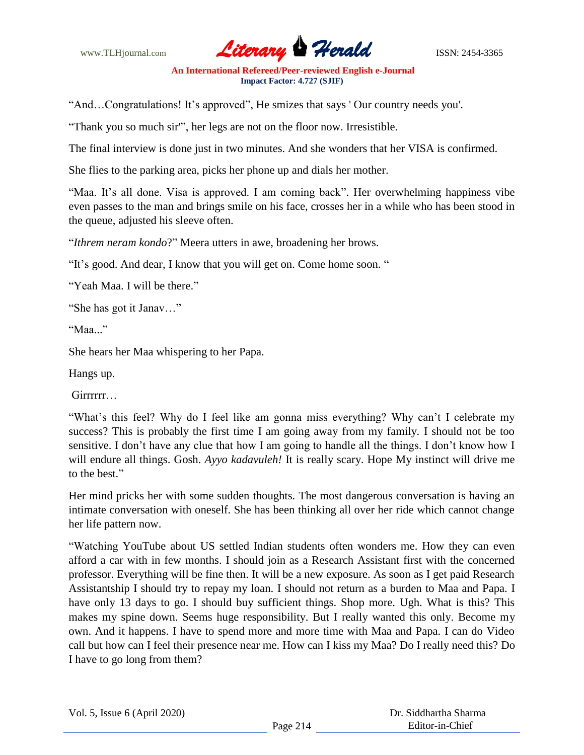

"And…Congratulations! It's approved", He smizes that says ' Our country needs you'.

"Thank you so much sir'", her legs are not on the floor now. Irresistible.

The final interview is done just in two minutes. And she wonders that her VISA is confirmed.

She flies to the parking area, picks her phone up and dials her mother.

"Maa. It's all done. Visa is approved. I am coming back". Her overwhelming happiness vibe even passes to the man and brings smile on his face, crosses her in a while who has been stood in the queue, adjusted his sleeve often.

"*Ithrem neram kondo*?" Meera utters in awe, broadening her brows.

"It's good. And dear, I know that you will get on. Come home soon. "

"Yeah Maa. I will be there."

"She has got it Janav…"

"Maa..."

She hears her Maa whispering to her Papa.

Hangs up.

Girrrrrr…

"What's this feel? Why do I feel like am gonna miss everything? Why can't I celebrate my success? This is probably the first time I am going away from my family. I should not be too sensitive. I don't have any clue that how I am going to handle all the things. I don't know how I will endure all things. Gosh. *Ayyo kadavuleh!* It is really scary. Hope My instinct will drive me to the best."

Her mind pricks her with some sudden thoughts. The most dangerous conversation is having an intimate conversation with oneself. She has been thinking all over her ride which cannot change her life pattern now.

"Watching YouTube about US settled Indian students often wonders me. How they can even afford a car with in few months. I should join as a Research Assistant first with the concerned professor. Everything will be fine then. It will be a new exposure. As soon as I get paid Research Assistantship I should try to repay my loan. I should not return as a burden to Maa and Papa. I have only 13 days to go. I should buy sufficient things. Shop more. Ugh. What is this? This makes my spine down. Seems huge responsibility. But I really wanted this only. Become my own. And it happens. I have to spend more and more time with Maa and Papa. I can do Video call but how can I feel their presence near me. How can I kiss my Maa? Do I really need this? Do I have to go long from them?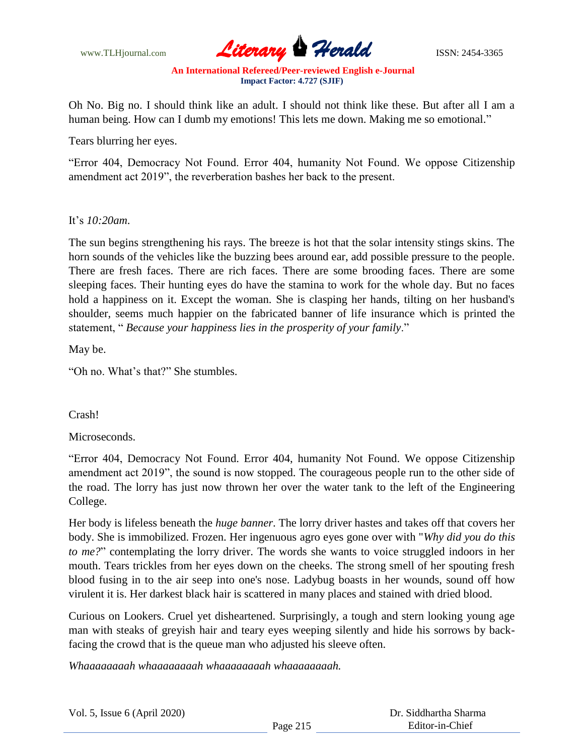

Oh No. Big no. I should think like an adult. I should not think like these. But after all I am a human being. How can I dumb my emotions! This lets me down. Making me so emotional."

Tears blurring her eyes.

"Error 404, Democracy Not Found. Error 404, humanity Not Found. We oppose Citizenship amendment act 2019", the reverberation bashes her back to the present.

It's *10:20am*.

The sun begins strengthening his rays. The breeze is hot that the solar intensity stings skins. The horn sounds of the vehicles like the buzzing bees around ear, add possible pressure to the people. There are fresh faces. There are rich faces. There are some brooding faces. There are some sleeping faces. Their hunting eyes do have the stamina to work for the whole day. But no faces hold a happiness on it. Except the woman. She is clasping her hands, tilting on her husband's shoulder, seems much happier on the fabricated banner of life insurance which is printed the statement, " *Because your happiness lies in the prosperity of your family*."

May be.

"Oh no. What's that?" She stumbles.

Crash!

Microseconds.

"Error 404, Democracy Not Found. Error 404, humanity Not Found. We oppose Citizenship amendment act 2019", the sound is now stopped. The courageous people run to the other side of the road. The lorry has just now thrown her over the water tank to the left of the Engineering College.

Her body is lifeless beneath the *huge banner*. The lorry driver hastes and takes off that covers her body. She is immobilized. Frozen. Her ingenuous agro eyes gone over with "*Why did you do this to me?*" contemplating the lorry driver. The words she wants to voice struggled indoors in her mouth. Tears trickles from her eyes down on the cheeks. The strong smell of her spouting fresh blood fusing in to the air seep into one's nose. Ladybug boasts in her wounds, sound off how virulent it is. Her darkest black hair is scattered in many places and stained with dried blood.

Curious on Lookers. Cruel yet disheartened. Surprisingly, a tough and stern looking young age man with steaks of greyish hair and teary eyes weeping silently and hide his sorrows by backfacing the crowd that is the queue man who adjusted his sleeve often.

*Whaaaaaaaah whaaaaaaaah whaaaaaaaah whaaaaaaaah.*

|  |  |  |  |  | Vol. 5, Issue 6 (April 2020) |
|--|--|--|--|--|------------------------------|
|--|--|--|--|--|------------------------------|

| Dr. Siddhartha Sharma |
|-----------------------|
| Editor-in-Chief       |